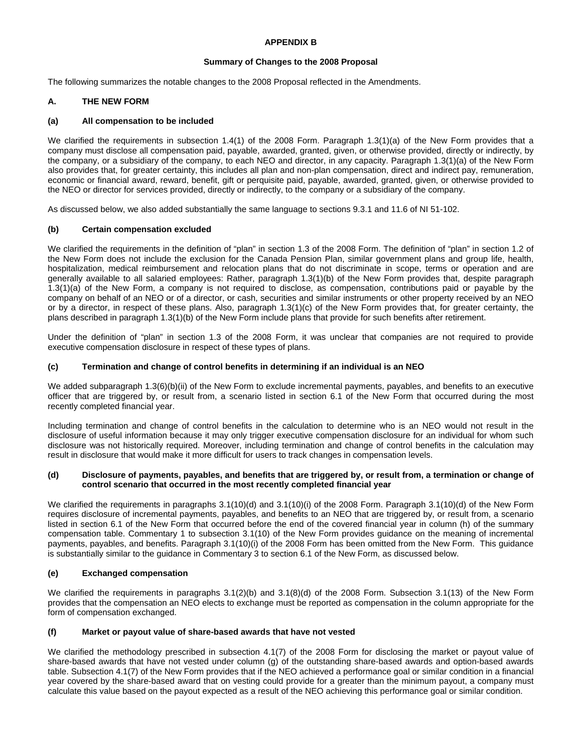## **APPENDIX B**

### **Summary of Changes to the 2008 Proposal**

The following summarizes the notable changes to the 2008 Proposal reflected in the Amendments.

## **A. THE NEW FORM**

#### **(a) All compensation to be included**

We clarified the requirements in subsection 1.4(1) of the 2008 Form. Paragraph 1.3(1)(a) of the New Form provides that a company must disclose all compensation paid, payable, awarded, granted, given, or otherwise provided, directly or indirectly, by the company, or a subsidiary of the company, to each NEO and director, in any capacity. Paragraph 1.3(1)(a) of the New Form also provides that, for greater certainty, this includes all plan and non-plan compensation, direct and indirect pay, remuneration, economic or financial award, reward, benefit, gift or perquisite paid, payable, awarded, granted, given, or otherwise provided to the NEO or director for services provided, directly or indirectly, to the company or a subsidiary of the company.

As discussed below, we also added substantially the same language to sections 9.3.1 and 11.6 of NI 51-102.

## **(b) Certain compensation excluded**

We clarified the requirements in the definition of "plan" in section 1.3 of the 2008 Form. The definition of "plan" in section 1.2 of the New Form does not include the exclusion for the Canada Pension Plan, similar government plans and group life, health, hospitalization, medical reimbursement and relocation plans that do not discriminate in scope, terms or operation and are generally available to all salaried employees: Rather, paragraph 1.3(1)(b) of the New Form provides that, despite paragraph 1.3(1)(a) of the New Form, a company is not required to disclose, as compensation, contributions paid or payable by the company on behalf of an NEO or of a director, or cash, securities and similar instruments or other property received by an NEO or by a director, in respect of these plans. Also, paragraph 1.3(1)(c) of the New Form provides that, for greater certainty, the plans described in paragraph 1.3(1)(b) of the New Form include plans that provide for such benefits after retirement.

Under the definition of "plan" in section 1.3 of the 2008 Form, it was unclear that companies are not required to provide executive compensation disclosure in respect of these types of plans.

#### **(c) Termination and change of control benefits in determining if an individual is an NEO**

We added subparagraph 1.3(6)(b)(ii) of the New Form to exclude incremental payments, payables, and benefits to an executive officer that are triggered by, or result from, a scenario listed in section 6.1 of the New Form that occurred during the most recently completed financial year.

Including termination and change of control benefits in the calculation to determine who is an NEO would not result in the disclosure of useful information because it may only trigger executive compensation disclosure for an individual for whom such disclosure was not historically required. Moreover, including termination and change of control benefits in the calculation may result in disclosure that would make it more difficult for users to track changes in compensation levels.

#### **(d) Disclosure of payments, payables, and benefits that are triggered by, or result from, a termination or change of control scenario that occurred in the most recently completed financial year**

We clarified the requirements in paragraphs 3.1(10)(d) and 3.1(10)(i) of the 2008 Form. Paragraph 3.1(10)(d) of the New Form requires disclosure of incremental payments, payables, and benefits to an NEO that are triggered by, or result from, a scenario listed in section 6.1 of the New Form that occurred before the end of the covered financial year in column (h) of the summary compensation table. Commentary 1 to subsection 3.1(10) of the New Form provides guidance on the meaning of incremental payments, payables, and benefits. Paragraph 3.1(10)(i) of the 2008 Form has been omitted from the New Form. This guidance is substantially similar to the guidance in Commentary 3 to section 6.1 of the New Form, as discussed below.

## **(e) Exchanged compensation**

We clarified the requirements in paragraphs  $3.1(2)(b)$  and  $3.1(8)(d)$  of the 2008 Form. Subsection  $3.1(13)$  of the New Form provides that the compensation an NEO elects to exchange must be reported as compensation in the column appropriate for the form of compensation exchanged.

#### **(f) Market or payout value of share-based awards that have not vested**

We clarified the methodology prescribed in subsection 4.1(7) of the 2008 Form for disclosing the market or payout value of share-based awards that have not vested under column (g) of the outstanding share-based awards and option-based awards table. Subsection 4.1(7) of the New Form provides that if the NEO achieved a performance goal or similar condition in a financial year covered by the share-based award that on vesting could provide for a greater than the minimum payout, a company must calculate this value based on the payout expected as a result of the NEO achieving this performance goal or similar condition.